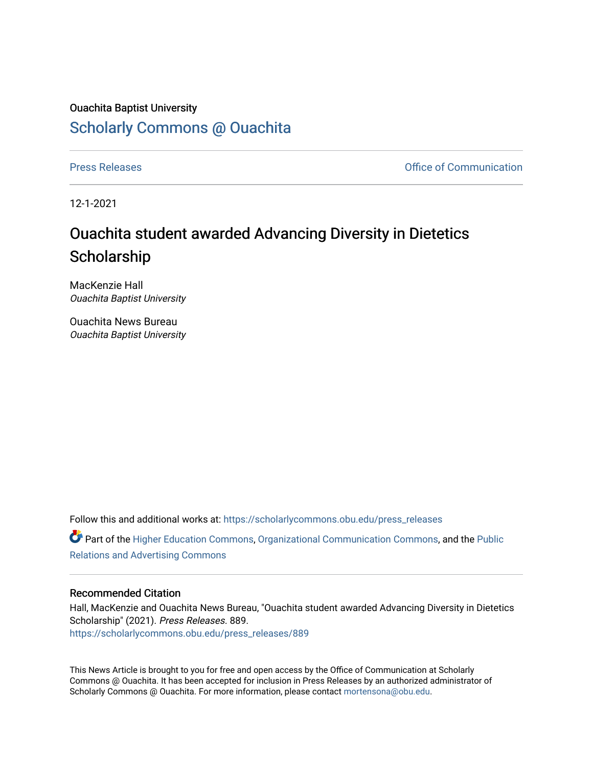## Ouachita Baptist University [Scholarly Commons @ Ouachita](https://scholarlycommons.obu.edu/)

[Press Releases](https://scholarlycommons.obu.edu/press_releases) **Press Releases Communication** 

12-1-2021

## Ouachita student awarded Advancing Diversity in Dietetics **Scholarship**

MacKenzie Hall Ouachita Baptist University

Ouachita News Bureau Ouachita Baptist University

Follow this and additional works at: [https://scholarlycommons.obu.edu/press\\_releases](https://scholarlycommons.obu.edu/press_releases?utm_source=scholarlycommons.obu.edu%2Fpress_releases%2F889&utm_medium=PDF&utm_campaign=PDFCoverPages)

Part of the [Higher Education Commons,](http://network.bepress.com/hgg/discipline/1245?utm_source=scholarlycommons.obu.edu%2Fpress_releases%2F889&utm_medium=PDF&utm_campaign=PDFCoverPages) [Organizational Communication Commons,](http://network.bepress.com/hgg/discipline/335?utm_source=scholarlycommons.obu.edu%2Fpress_releases%2F889&utm_medium=PDF&utm_campaign=PDFCoverPages) and the [Public](http://network.bepress.com/hgg/discipline/336?utm_source=scholarlycommons.obu.edu%2Fpress_releases%2F889&utm_medium=PDF&utm_campaign=PDFCoverPages) [Relations and Advertising Commons](http://network.bepress.com/hgg/discipline/336?utm_source=scholarlycommons.obu.edu%2Fpress_releases%2F889&utm_medium=PDF&utm_campaign=PDFCoverPages) 

## Recommended Citation

Hall, MacKenzie and Ouachita News Bureau, "Ouachita student awarded Advancing Diversity in Dietetics Scholarship" (2021). Press Releases. 889. [https://scholarlycommons.obu.edu/press\\_releases/889](https://scholarlycommons.obu.edu/press_releases/889?utm_source=scholarlycommons.obu.edu%2Fpress_releases%2F889&utm_medium=PDF&utm_campaign=PDFCoverPages)

This News Article is brought to you for free and open access by the Office of Communication at Scholarly Commons @ Ouachita. It has been accepted for inclusion in Press Releases by an authorized administrator of Scholarly Commons @ Ouachita. For more information, please contact [mortensona@obu.edu](mailto:mortensona@obu.edu).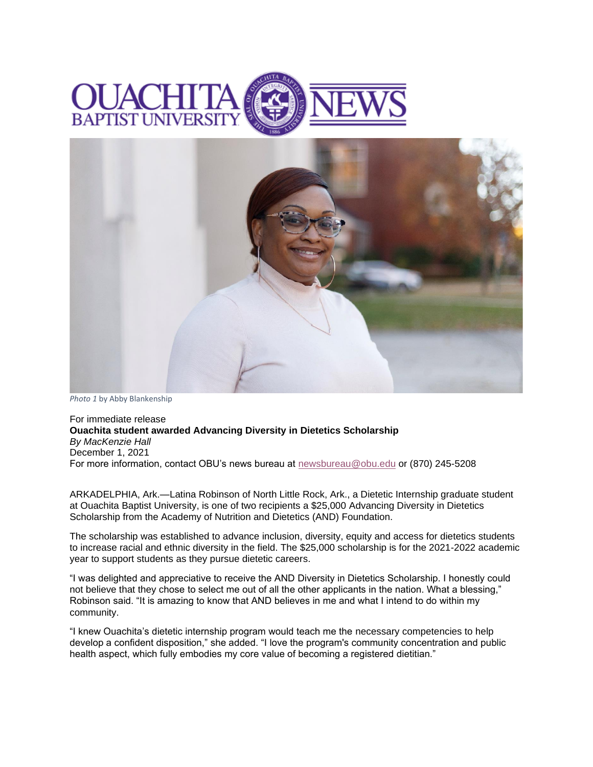



*Photo 1* by Abby Blankenship

For immediate release **Ouachita student awarded Advancing Diversity in Dietetics Scholarship** *By MacKenzie Hall* December 1, 2021 For more information, contact OBU's news bureau at [newsbureau@obu.edu](mailto:newsbureau@obu.edu) or (870) 245-5208

ARKADELPHIA, Ark.—Latina Robinson of North Little Rock, Ark., a Dietetic Internship graduate student at Ouachita Baptist University, is one of two recipients a \$25,000 Advancing Diversity in Dietetics Scholarship from the Academy of Nutrition and Dietetics (AND) Foundation.

The scholarship was established to advance inclusion, diversity, equity and access for dietetics students to increase racial and ethnic diversity in the field. The \$25,000 scholarship is for the 2021-2022 academic year to support students as they pursue dietetic careers.

"I was delighted and appreciative to receive the AND Diversity in Dietetics Scholarship. I honestly could not believe that they chose to select me out of all the other applicants in the nation. What a blessing," Robinson said. "It is amazing to know that AND believes in me and what I intend to do within my community.

"I knew Ouachita's dietetic internship program would teach me the necessary competencies to help develop a confident disposition," she added. "I love the program's community concentration and public health aspect, which fully embodies my core value of becoming a registered dietitian."